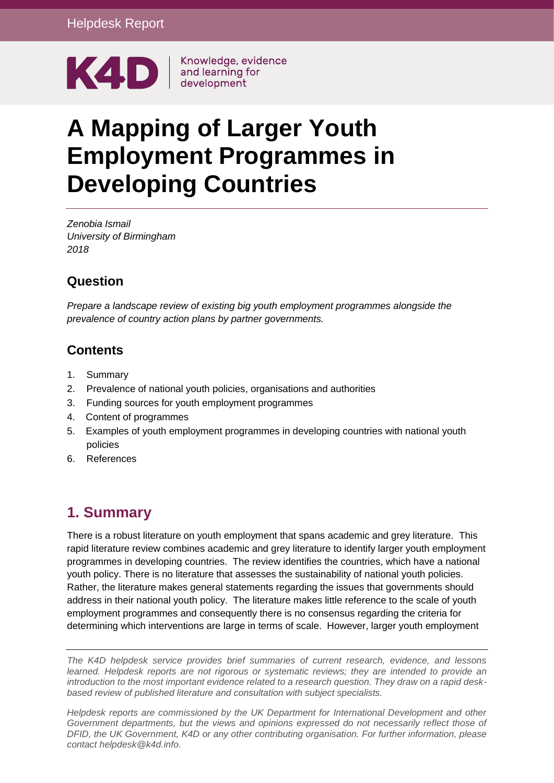

# **A Mapping of Larger Youth Employment Programmes in Developing Countries**

*Zenobia Ismail University of Birmingham 2018*

### **Question**

*Prepare a landscape review of existing big youth employment programmes alongside the prevalence of country action plans by partner governments.*

#### **Contents**

- 1. [Summary](#page-0-0)
- 2. Prevalence of national youth policies, organisations and authorities
- 3. Funding sources for youth employment programmes
- 4. Content of programmes
- 5. Examples of youth employment programmes in developing countries with national youth policies
- <span id="page-0-0"></span>6. [References](#page-5-0)

# **1. Summary**

There is a robust literature on youth employment that spans academic and grey literature. This rapid literature review combines academic and grey literature to identify larger youth employment programmes in developing countries. The review identifies the countries, which have a national youth policy. There is no literature that assesses the sustainability of national youth policies. Rather, the literature makes general statements regarding the issues that governments should address in their national youth policy. The literature makes little reference to the scale of youth employment programmes and consequently there is no consensus regarding the criteria for determining which interventions are large in terms of scale. However, larger youth employment

*The K4D helpdesk service provides brief summaries of current research, evidence, and lessons learned. Helpdesk reports are not rigorous or systematic reviews; they are intended to provide an introduction to the most important evidence related to a research question. They draw on a rapid deskbased review of published literature and consultation with subject specialists.* 

*Helpdesk reports are commissioned by the UK Department for International Development and other*  Government departments, but the views and opinions expressed do not necessarily reflect those of *DFID, the UK Government, K4D or any other contributing organisation. For further information, please contact helpdesk@k4d.info.*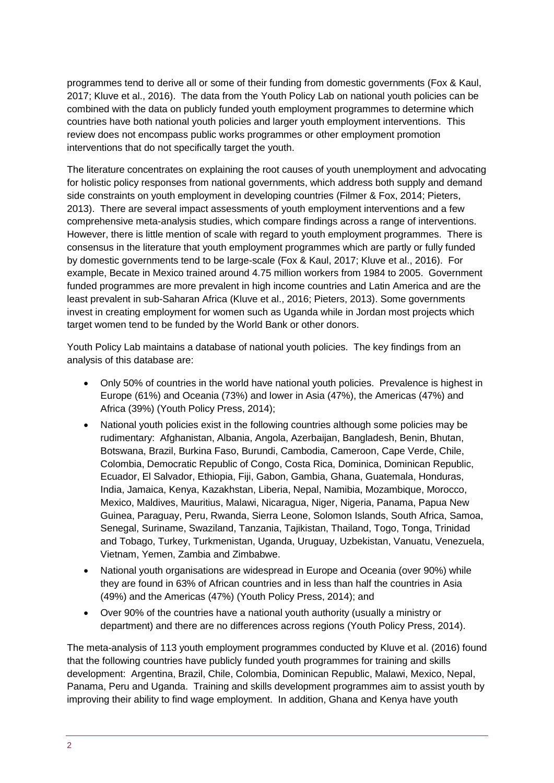programmes tend to derive all or some of their funding from domestic governments (Fox & Kaul, 2017; Kluve et al., 2016). The data from the Youth Policy Lab on national youth policies can be combined with the data on publicly funded youth employment programmes to determine which countries have both national youth policies and larger youth employment interventions. This review does not encompass public works programmes or other employment promotion interventions that do not specifically target the youth.

The literature concentrates on explaining the root causes of youth unemployment and advocating for holistic policy responses from national governments, which address both supply and demand side constraints on youth employment in developing countries (Filmer & Fox, 2014; Pieters, 2013). There are several impact assessments of youth employment interventions and a few comprehensive meta-analysis studies, which compare findings across a range of interventions. However, there is little mention of scale with regard to youth employment programmes. There is consensus in the literature that youth employment programmes which are partly or fully funded by domestic governments tend to be large-scale (Fox & Kaul, 2017; Kluve et al., 2016). For example, Becate in Mexico trained around 4.75 million workers from 1984 to 2005. Government funded programmes are more prevalent in high income countries and Latin America and are the least prevalent in sub-Saharan Africa (Kluve et al., 2016; Pieters, 2013). Some governments invest in creating employment for women such as Uganda while in Jordan most projects which target women tend to be funded by the World Bank or other donors.

Youth Policy Lab maintains a database of national youth policies. The key findings from an analysis of this database are:

- Only 50% of countries in the world have national youth policies. Prevalence is highest in Europe (61%) and Oceania (73%) and lower in Asia (47%), the Americas (47%) and Africa (39%) (Youth Policy Press, 2014);
- National youth policies exist in the following countries although some policies may be rudimentary: Afghanistan, Albania, Angola, Azerbaijan, Bangladesh, Benin, Bhutan, Botswana, Brazil, Burkina Faso, Burundi, Cambodia, Cameroon, Cape Verde, Chile, Colombia, Democratic Republic of Congo, Costa Rica, Dominica, Dominican Republic, Ecuador, El Salvador, Ethiopia, Fiji, Gabon, Gambia, Ghana, Guatemala, Honduras, India, Jamaica, Kenya, Kazakhstan, Liberia, Nepal, Namibia, Mozambique, Morocco, Mexico, Maldives, Mauritius, Malawi, Nicaragua, Niger, Nigeria, Panama, Papua New Guinea, Paraguay, Peru, Rwanda, Sierra Leone, Solomon Islands, South Africa, Samoa, Senegal, Suriname, Swaziland, Tanzania, Tajikistan, Thailand, Togo, Tonga, Trinidad and Tobago, Turkey, Turkmenistan, Uganda, Uruguay, Uzbekistan, Vanuatu, Venezuela, Vietnam, Yemen, Zambia and Zimbabwe.
- National youth organisations are widespread in Europe and Oceania (over 90%) while they are found in 63% of African countries and in less than half the countries in Asia (49%) and the Americas (47%) (Youth Policy Press, 2014); and
- Over 90% of the countries have a national youth authority (usually a ministry or department) and there are no differences across regions (Youth Policy Press, 2014).

The meta-analysis of 113 youth employment programmes conducted by Kluve et al. (2016) found that the following countries have publicly funded youth programmes for training and skills development: Argentina, Brazil, Chile, Colombia, Dominican Republic, Malawi, Mexico, Nepal, Panama, Peru and Uganda. Training and skills development programmes aim to assist youth by improving their ability to find wage employment. In addition, Ghana and Kenya have youth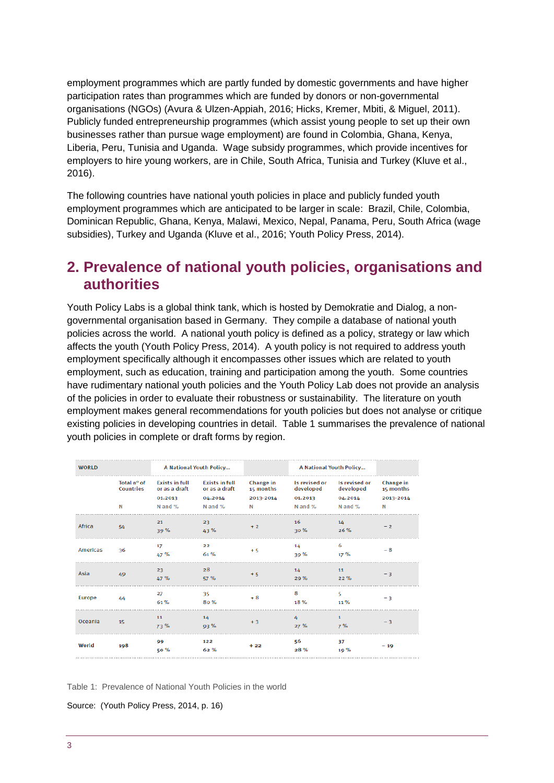employment programmes which are partly funded by domestic governments and have higher participation rates than programmes which are funded by donors or non-governmental organisations (NGOs) (Avura & Ulzen-Appiah, 2016; Hicks, Kremer, Mbiti, & Miguel, 2011). Publicly funded entrepreneurship programmes (which assist young people to set up their own businesses rather than pursue wage employment) are found in Colombia, Ghana, Kenya, Liberia, Peru, Tunisia and Uganda. Wage subsidy programmes, which provide incentives for employers to hire young workers, are in Chile, South Africa, Tunisia and Turkey (Kluve et al., 2016).

The following countries have national youth policies in place and publicly funded youth employment programmes which are anticipated to be larger in scale: Brazil, Chile, Colombia, Dominican Republic, Ghana, Kenya, Malawi, Mexico, Nepal, Panama, Peru, South Africa (wage subsidies), Turkey and Uganda (Kluve et al., 2016; Youth Policy Press, 2014).

## **2. Prevalence of national youth policies, organisations and authorities**

Youth Policy Labs is a global think tank, which is hosted by Demokratie and Dialog, a nongovernmental organisation based in Germany. They compile a database of national youth policies across the world. A national youth policy is defined as a policy, strategy or law which affects the youth (Youth Policy Press, 2014). A youth policy is not required to address youth employment specifically although it encompasses other issues which are related to youth employment, such as education, training and participation among the youth. Some countries have rudimentary national youth policies and the Youth Policy Lab does not provide an analysis of the policies in order to evaluate their robustness or sustainability. The literature on youth employment makes general recommendations for youth policies but does not analyse or critique existing policies in developing countries in detail. Table 1 summarises the prevalence of national youth policies in complete or draft forms by region.

| <b>WORLD</b> |                                      | A National Youth Policy                                      |                                                              |                                          | A National Youth Policy                          |                                                  |                                          |
|--------------|--------------------------------------|--------------------------------------------------------------|--------------------------------------------------------------|------------------------------------------|--------------------------------------------------|--------------------------------------------------|------------------------------------------|
|              | Total n° of<br><b>Countries</b><br>N | <b>Exists in full</b><br>or as a draft<br>01.2013<br>N and % | <b>Exists in full</b><br>or as a draft<br>04.2014<br>N and % | Change in<br>15 months<br>2013-2014<br>N | Is revised or<br>developed<br>01.2013<br>N and % | Is revised or<br>developed<br>04.2014<br>N and % | Change in<br>15 months<br>2013-2014<br>N |
| Africa       | 54                                   | 21<br>39%                                                    | 23<br>43%                                                    | $+2$                                     | 16<br>30%                                        | 14<br>26%                                        | $-2$                                     |
| Americas     | 36                                   | 17<br>47 %                                                   | 22<br>61%                                                    | $+5$                                     | 14<br>39%                                        | 6<br>17%                                         | $-8$                                     |
| Asia         | 49                                   | 23<br>47 %                                                   | 28<br>57%                                                    | $+5$                                     | 14<br>29%                                        | 11<br>22%                                        | $-3$                                     |
| Europe       | 44                                   | 27<br>61%                                                    | 35<br>8o%                                                    | $+8$                                     | 8<br>18%                                         | 5<br>11%                                         | $-3$                                     |
| Oceania      | 15                                   | 11<br>73%                                                    | 14<br>93%                                                    | $+3$                                     | Δ<br>27%                                         | 1<br>7%                                          | - 3                                      |
| World        | 198                                  | 99<br>50%                                                    | 122<br>62%                                                   | $+22$                                    | 56<br>28%                                        | 37<br>19%                                        | $-19$                                    |

Table 1: Prevalence of National Youth Policies in the world

Source: (Youth Policy Press, 2014, p. 16)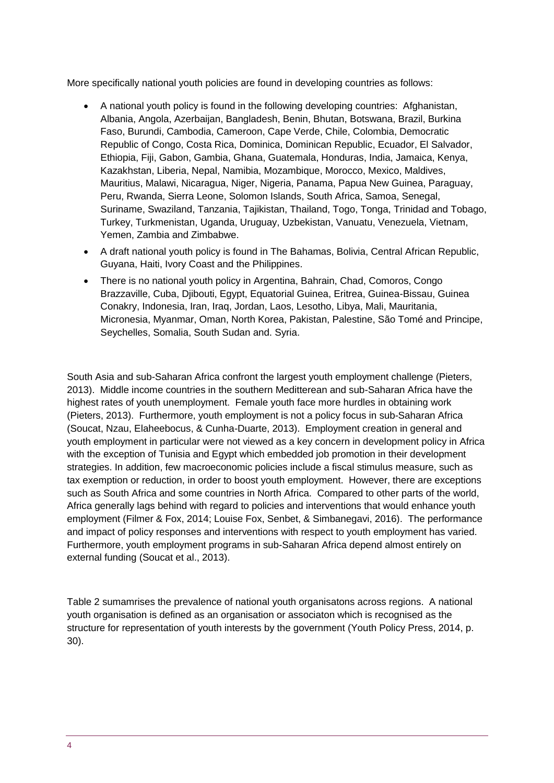More specifically national youth policies are found in developing countries as follows:

- A national youth policy is found in the following developing countries: Afghanistan, Albania, Angola, Azerbaijan, Bangladesh, Benin, Bhutan, Botswana, Brazil, Burkina Faso, Burundi, Cambodia, Cameroon, Cape Verde, Chile, Colombia, Democratic Republic of Congo, Costa Rica, Dominica, Dominican Republic, Ecuador, El Salvador, Ethiopia, Fiji, Gabon, Gambia, Ghana, Guatemala, Honduras, India, Jamaica, Kenya, Kazakhstan, Liberia, Nepal, Namibia, Mozambique, Morocco, Mexico, Maldives, Mauritius, Malawi, Nicaragua, Niger, Nigeria, Panama, Papua New Guinea, Paraguay, Peru, Rwanda, Sierra Leone, Solomon Islands, South Africa, Samoa, Senegal, Suriname, Swaziland, Tanzania, Tajikistan, Thailand, Togo, Tonga, Trinidad and Tobago, Turkey, Turkmenistan, Uganda, Uruguay, Uzbekistan, Vanuatu, Venezuela, Vietnam, Yemen, Zambia and Zimbabwe.
- A draft national youth policy is found in The Bahamas, Bolivia, Central African Republic, Guyana, Haiti, Ivory Coast and the Philippines.
- There is no national youth policy in Argentina, Bahrain, Chad, Comoros, Congo Brazzaville, Cuba, Djibouti, Egypt, Equatorial Guinea, Eritrea, Guinea-Bissau, Guinea Conakry, Indonesia, Iran, Iraq, Jordan, Laos, Lesotho, Libya, Mali, Mauritania, Micronesia, Myanmar, Oman, North Korea, Pakistan, Palestine, São Tomé and Principe, Seychelles, Somalia, South Sudan and. Syria.

South Asia and sub-Saharan Africa confront the largest youth employment challenge (Pieters, 2013). Middle income countries in the southern Meditterean and sub-Saharan Africa have the highest rates of youth unemployment. Female youth face more hurdles in obtaining work (Pieters, 2013). Furthermore, youth employment is not a policy focus in sub-Saharan Africa (Soucat, Nzau, Elaheebocus, & Cunha-Duarte, 2013). Employment creation in general and youth employment in particular were not viewed as a key concern in development policy in Africa with the exception of Tunisia and Egypt which embedded job promotion in their development strategies. In addition, few macroeconomic policies include a fiscal stimulus measure, such as tax exemption or reduction, in order to boost youth employment. However, there are exceptions such as South Africa and some countries in North Africa. Compared to other parts of the world, Africa generally lags behind with regard to policies and interventions that would enhance youth employment (Filmer & Fox, 2014; Louise Fox, Senbet, & Simbanegavi, 2016). The performance and impact of policy responses and interventions with respect to youth employment has varied. Furthermore, youth employment programs in sub-Saharan Africa depend almost entirely on external funding (Soucat et al., 2013).

Table 2 sumamrises the prevalence of national youth organisatons across regions. A national youth organisation is defined as an organisation or associaton which is recognised as the structure for representation of youth interests by the government (Youth Policy Press, 2014, p. 30).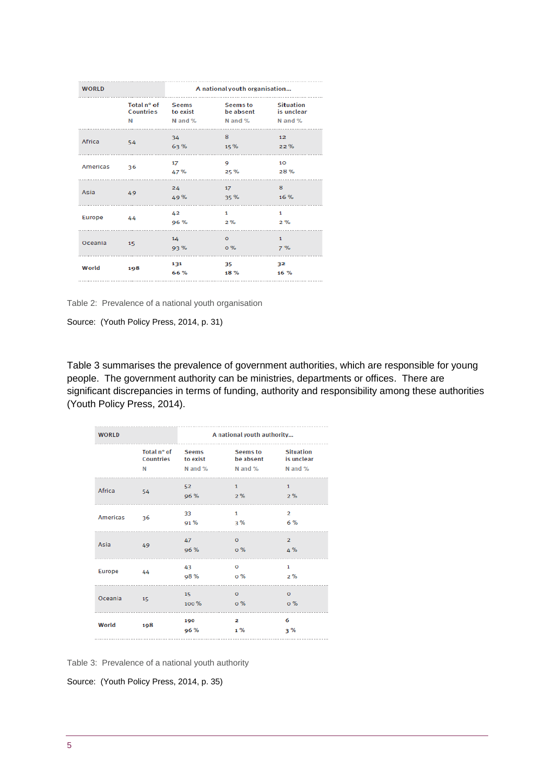| <b>WORLD</b> |      | A national youth organisation |                                                            |                         |  |
|--------------|------|-------------------------------|------------------------------------------------------------|-------------------------|--|
|              | N    | Countries to exist<br>N and % | Total n° of Seems Seems to<br>be absent<br>N and % N and % | Situation<br>is unclear |  |
| Africa       | - 54 | 34<br>63%                     | 8<br>15%                                                   | 12 <sup>2</sup><br>22%  |  |
| Americas 36  |      | 17<br>47%                     | 9<br>25 %                                                  | 10<br>28%               |  |
| Asia         | 49   | 24<br>49 %                    | 17<br>35 %                                                 | 8<br>16 %               |  |
| Europe<br>.  | 44   | 42<br>96 %<br>                | $\mathbf{1}$<br>$2\%$<br>.                                 | 1<br>2%<br>             |  |
| Oceania 15   |      | 14<br>93 %                    | $\mathbf{O}$<br><b>o</b> %                                 | $\mathbf{1}$<br>7%      |  |
| World        | 198  | 131<br>66 %                   | 35<br>18 %                                                 | 32<br>16 %              |  |

Table 2: Prevalence of a national youth organisation

Source: (Youth Policy Press, 2014, p. 31)

Table 3 summarises the prevalence of government authorities, which are responsible for young people. The government authority can be ministries, departments or offices. There are significant discrepancies in terms of funding, authority and responsibility among these authorities (Youth Policy Press, 2014).

| <b>WORLD</b>  |                               |                                | A national youth authority         |                                           |
|---------------|-------------------------------|--------------------------------|------------------------------------|-------------------------------------------|
|               | Total n° of<br>Countries<br>N | Seems<br>to exist<br>$N$ and % | Seems to<br>be absent<br>N and $%$ | <b>Situation</b><br>is unclear<br>N and % |
| Africa        | 54                            | 52<br>96 %                     | $\mathbf{1}$<br>2%<br>.            | $\mathbf{1}$<br>2%                        |
| Americas      | 36                            | 33<br>91%                      | 1<br>3%                            | $\overline{2}$<br>6 %                     |
| Asia          | 49                            | 47<br>96 %                     | $\circ$<br>$0\%$                   | $\overline{2}$<br>4 %                     |
| <b>Europe</b> | 44                            | 43<br><b>98%</b><br>.          | $\circ$<br>$0\%$<br>.              | $\mathbf{1}$<br>2%<br>.                   |
| Oceania       | 15                            | 15<br>100%                     | $\circ$<br>o %                     | $\circ$<br>o %                            |
| World         | 198                           | 190<br>96 %                    | $\mathbf{2}$<br>$1\%$              | 6<br>3%                                   |

Table 3: Prevalence of a national youth authority

Source: (Youth Policy Press, 2014, p. 35)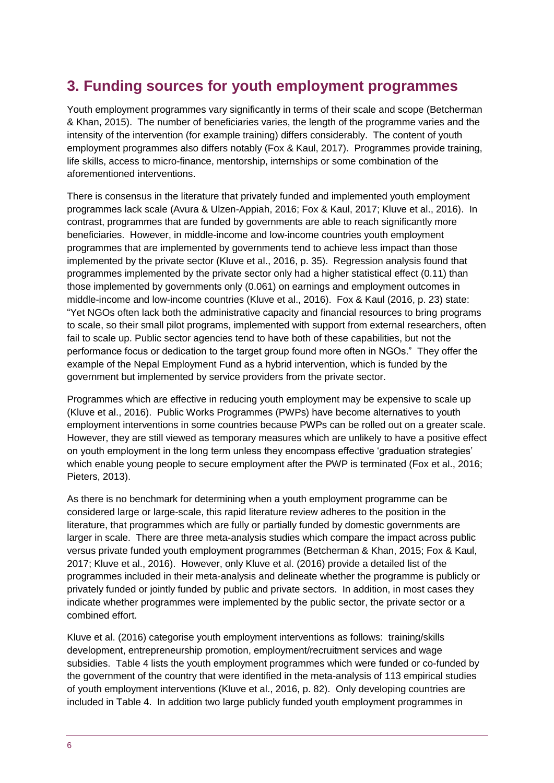# **3. Funding sources for youth employment programmes**

Youth employment programmes vary significantly in terms of their scale and scope (Betcherman & Khan, 2015). The number of beneficiaries varies, the length of the programme varies and the intensity of the intervention (for example training) differs considerably. The content of youth employment programmes also differs notably (Fox & Kaul, 2017). Programmes provide training, life skills, access to micro-finance, mentorship, internships or some combination of the aforementioned interventions.

There is consensus in the literature that privately funded and implemented youth employment programmes lack scale (Avura & Ulzen-Appiah, 2016; Fox & Kaul, 2017; Kluve et al., 2016). In contrast, programmes that are funded by governments are able to reach significantly more beneficiaries. However, in middle-income and low-income countries youth employment programmes that are implemented by governments tend to achieve less impact than those implemented by the private sector (Kluve et al., 2016, p. 35). Regression analysis found that programmes implemented by the private sector only had a higher statistical effect (0.11) than those implemented by governments only (0.061) on earnings and employment outcomes in middle-income and low-income countries (Kluve et al., 2016). Fox & Kaul (2016, p. 23) state: "Yet NGOs often lack both the administrative capacity and financial resources to bring programs to scale, so their small pilot programs, implemented with support from external researchers, often fail to scale up. Public sector agencies tend to have both of these capabilities, but not the performance focus or dedication to the target group found more often in NGOs." They offer the example of the Nepal Employment Fund as a hybrid intervention, which is funded by the government but implemented by service providers from the private sector.

<span id="page-5-0"></span>Programmes which are effective in reducing youth employment may be expensive to scale up (Kluve et al., 2016). Public Works Programmes (PWPs) have become alternatives to youth employment interventions in some countries because PWPs can be rolled out on a greater scale. However, they are still viewed as temporary measures which are unlikely to have a positive effect on youth employment in the long term unless they encompass effective 'graduation strategies' which enable young people to secure employment after the PWP is terminated (Fox et al., 2016; Pieters, 2013).

As there is no benchmark for determining when a youth employment programme can be considered large or large-scale, this rapid literature review adheres to the position in the literature, that programmes which are fully or partially funded by domestic governments are larger in scale. There are three meta-analysis studies which compare the impact across public versus private funded youth employment programmes (Betcherman & Khan, 2015; Fox & Kaul, 2017; Kluve et al., 2016). However, only Kluve et al. (2016) provide a detailed list of the programmes included in their meta-analysis and delineate whether the programme is publicly or privately funded or jointly funded by public and private sectors. In addition, in most cases they indicate whether programmes were implemented by the public sector, the private sector or a combined effort.

Kluve et al. (2016) categorise youth employment interventions as follows: training/skills development, entrepreneurship promotion, employment/recruitment services and wage subsidies. Table 4 lists the youth employment programmes which were funded or co-funded by the government of the country that were identified in the meta-analysis of 113 empirical studies of youth employment interventions (Kluve et al., 2016, p. 82). Only developing countries are included in Table 4. In addition two large publicly funded youth employment programmes in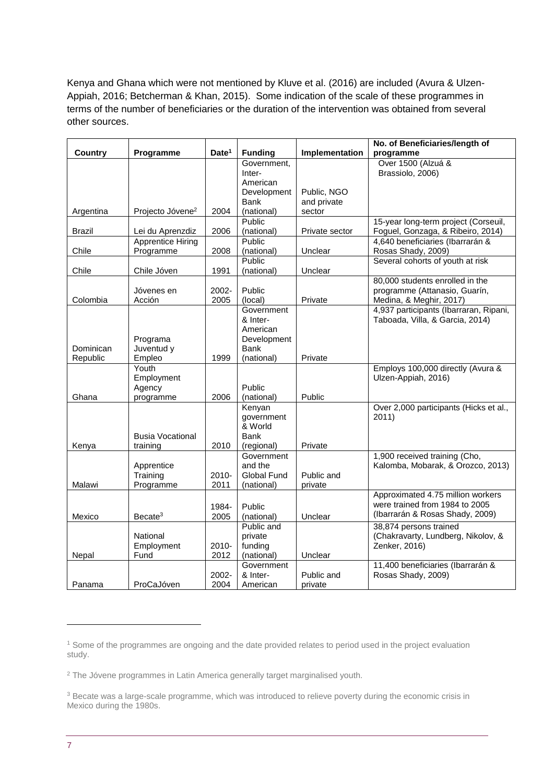Kenya and Ghana which were not mentioned by Kluve et al. (2016) are included (Avura & Ulzen-Appiah, 2016; Betcherman & Khan, 2015). Some indication of the scale of these programmes in terms of the number of beneficiaries or the duration of the intervention was obtained from several other sources.

|                |                              |                   |                          |                | No. of Beneficiaries/length of         |
|----------------|------------------------------|-------------------|--------------------------|----------------|----------------------------------------|
| <b>Country</b> | Programme                    | Date <sup>1</sup> | <b>Funding</b>           | Implementation | programme                              |
|                |                              |                   | Government,              |                | Over 1500 (Alzuá &                     |
|                |                              |                   | Inter-                   |                | Brassiolo, 2006)                       |
|                |                              |                   | American                 |                |                                        |
|                |                              |                   | Development              | Public, NGO    |                                        |
|                |                              |                   | <b>Bank</b>              | and private    |                                        |
| Argentina      | Projecto Jóvene <sup>2</sup> | 2004              | (national)               | sector         |                                        |
|                |                              |                   | Public                   |                | 15-year long-term project (Corseuil,   |
| <b>Brazil</b>  | Lei du Aprenzdiz             | 2006              | (national)               | Private sector | Foguel, Gonzaga, & Ribeiro, 2014)      |
|                | <b>Apprentice Hiring</b>     |                   | Public                   |                | 4,640 beneficiaries (Ibarrarán &       |
| Chile          | Programme                    | 2008              | (national)               | Unclear        | Rosas Shady, 2009)                     |
|                |                              |                   | Public                   |                | Several cohorts of youth at risk       |
| Chile          | Chile Jóven                  | 1991              | (national)               | Unclear        |                                        |
|                |                              |                   |                          |                | 80,000 students enrolled in the        |
|                | Jóvenes en                   | 2002-             | Public                   |                | programme (Attanasio, Guarín,          |
| Colombia       | Acción                       | 2005              | (local)                  | Private        | Medina, & Meghir, 2017)                |
|                |                              |                   | Government               |                | 4,937 participants (Ibarraran, Ripani, |
|                |                              |                   | & Inter-                 |                | Taboada, Villa, & Garcia, 2014)        |
|                |                              |                   | American                 |                |                                        |
|                | Programa                     |                   | Development              |                |                                        |
| Dominican      | Juventud y                   |                   | <b>Bank</b>              |                |                                        |
| Republic       | Empleo                       | 1999              | (national)               | Private        |                                        |
|                | Youth                        |                   |                          |                | Employs 100,000 directly (Avura &      |
|                | Employment                   |                   |                          |                | Ulzen-Appiah, 2016)                    |
|                | Agency                       |                   | Public                   |                |                                        |
| Ghana          | programme                    | 2006              | (national)               | Public         |                                        |
|                |                              |                   | Kenyan                   |                | Over 2,000 participants (Hicks et al., |
|                |                              |                   | government<br>& World    |                | 2011)                                  |
|                | <b>Busia Vocational</b>      |                   | <b>Bank</b>              |                |                                        |
|                |                              | 2010              |                          | Private        |                                        |
| Kenya          | training                     |                   | (regional)<br>Government |                | 1,900 received training (Cho,          |
|                | Apprentice                   |                   | and the                  |                | Kalomba, Mobarak, & Orozco, 2013)      |
|                | Training                     | 2010-             | Global Fund              | Public and     |                                        |
| Malawi         | Programme                    | 2011              | (national)               | private        |                                        |
|                |                              |                   |                          |                | Approximated 4.75 million workers      |
|                |                              |                   |                          |                | were trained from 1984 to 2005         |
|                |                              | 1984-             | Public                   |                | (Ibarrarán & Rosas Shady, 2009)        |
| Mexico         | Becate <sup>3</sup>          | 2005              | (national)               | Unclear        |                                        |
|                |                              |                   | Public and               |                | 38,874 persons trained                 |
|                | National                     |                   | private                  |                | (Chakravarty, Lundberg, Nikolov, &     |
|                | Employment                   | 2010-             | funding                  |                | Zenker, 2016)                          |
| Nepal          | Fund                         | 2012              | (national)               | Unclear        |                                        |
|                |                              |                   | Government               |                | 11,400 beneficiaries (Ibarrarán &      |
|                |                              | 2002-             | & Inter-                 | Public and     | Rosas Shady, 2009)                     |
| Panama         | ProCaJóven                   | 2004              | American                 | private        |                                        |

1

<sup>1</sup> Some of the programmes are ongoing and the date provided relates to period used in the project evaluation study.

<sup>&</sup>lt;sup>2</sup> The Jóvene programmes in Latin America generally target marginalised youth.

<sup>&</sup>lt;sup>3</sup> Becate was a large-scale programme, which was introduced to relieve poverty during the economic crisis in Mexico during the 1980s.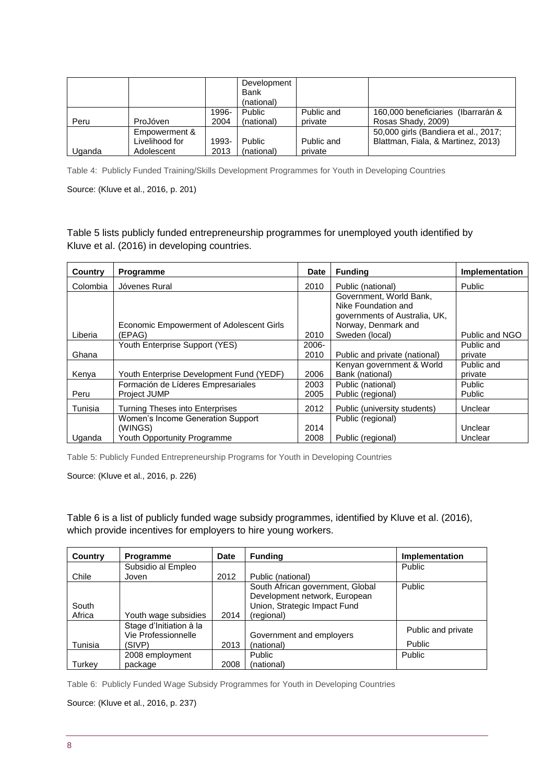|        |                                               |               | Development<br><b>Bank</b><br>(national) |                       |                                                                            |
|--------|-----------------------------------------------|---------------|------------------------------------------|-----------------------|----------------------------------------------------------------------------|
| Peru   | ProJóven                                      | 1996-<br>2004 | Public<br>(national)                     | Public and<br>private | 160,000 beneficiaries (Ibarrarán &<br>Rosas Shady, 2009)                   |
| Uganda | Empowerment &<br>Livelihood for<br>Adolescent | 1993-<br>2013 | Public<br>(national)                     | Public and<br>private | 50,000 girls (Bandiera et al., 2017;<br>Blattman, Fiala, & Martinez, 2013) |

Table 4: Publicly Funded Training/Skills Development Programmes for Youth in Developing Countries

Source: (Kluve et al., 2016, p. 201)

Table 5 lists publicly funded entrepreneurship programmes for unemployed youth identified by Kluve et al. (2016) in developing countries.

| Country  | <b>Programme</b>                         | <b>Date</b> | <b>Funding</b>                | Implementation |
|----------|------------------------------------------|-------------|-------------------------------|----------------|
| Colombia | Jóvenes Rural                            | 2010        | Public (national)             | Public         |
|          |                                          |             | Government, World Bank,       |                |
|          |                                          |             | Nike Foundation and           |                |
|          |                                          |             | governments of Australia, UK, |                |
|          | Economic Empowerment of Adolescent Girls |             | Norway, Denmark and           |                |
| Liberia  | (EPAG)                                   | 2010        | Sweden (local)                | Public and NGO |
|          | Youth Enterprise Support (YES)           | 2006-       |                               | Public and     |
| Ghana    |                                          | 2010        | Public and private (national) | private        |
|          |                                          |             | Kenyan government & World     | Public and     |
| Kenya    | Youth Enterprise Development Fund (YEDF) | 2006        | Bank (national)               | private        |
|          | Formación de Líderes Empresariales       | 2003        | Public (national)             | Public         |
| Peru     | Project JUMP                             | 2005        | Public (regional)             | Public         |
| Tunisia  | <b>Turning Theses into Enterprises</b>   | 2012        | Public (university students)  | Unclear        |
|          | Women's Income Generation Support        |             | Public (regional)             |                |
|          | (WINGS)                                  | 2014        |                               | Unclear        |
| Uganda   | Youth Opportunity Programme              | 2008        | Public (regional)             | Unclear        |

Table 5: Publicly Funded Entrepreneurship Programs for Youth in Developing Countries

Source: (Kluve et al., 2016, p. 226)

Table 6 is a list of publicly funded wage subsidy programmes, identified by Kluve et al. (2016), which provide incentives for employers to hire young workers.

| Country | <b>Programme</b>        | Date | <b>Funding</b>                   | Implementation     |
|---------|-------------------------|------|----------------------------------|--------------------|
|         | Subsidio al Empleo      |      |                                  | <b>Public</b>      |
| Chile   | Joven                   | 2012 | Public (national)                |                    |
|         |                         |      | South African government, Global | <b>Public</b>      |
|         |                         |      | Development network, European    |                    |
| South   |                         |      | Union, Strategic Impact Fund     |                    |
| Africa  | Youth wage subsidies    | 2014 | (regional)                       |                    |
|         | Stage d'Initiation à la |      |                                  | Public and private |
|         | Vie Professionnelle     |      | Government and employers         |                    |
| Tunisia | (SIVP)                  | 2013 | (national)                       | <b>Public</b>      |
|         | 2008 employment         |      | <b>Public</b>                    | Public             |
| Turkey  | package                 | 2008 | (national)                       |                    |

Table 6: Publicly Funded Wage Subsidy Programmes for Youth in Developing Countries

Source: (Kluve et al., 2016, p. 237)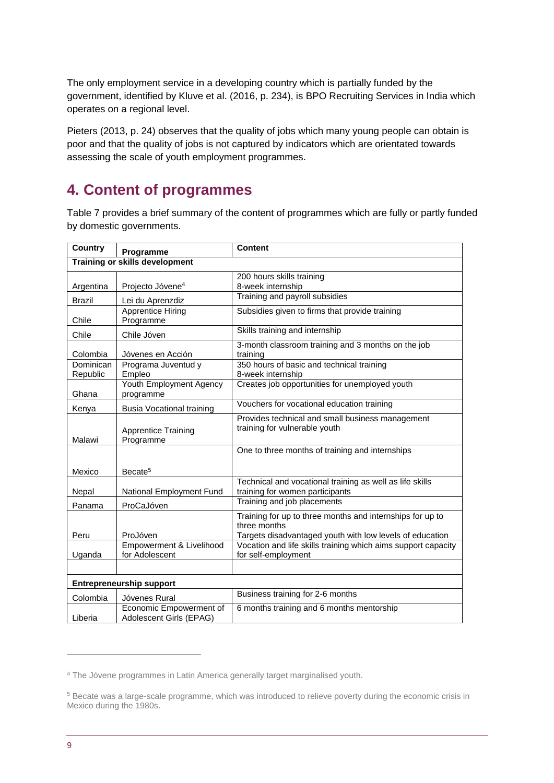The only employment service in a developing country which is partially funded by the government, identified by Kluve et al. (2016, p. 234), is BPO Recruiting Services in India which operates on a regional level.

Pieters (2013, p. 24) observes that the quality of jobs which many young people can obtain is poor and that the quality of jobs is not captured by indicators which are orientated towards assessing the scale of youth employment programmes.

## **4. Content of programmes**

Table 7 provides a brief summary of the content of programmes which are fully or partly funded by domestic governments.

| Country               | Programme                                          | <b>Content</b>                                                                                                                        |
|-----------------------|----------------------------------------------------|---------------------------------------------------------------------------------------------------------------------------------------|
|                       | <b>Training or skills development</b>              |                                                                                                                                       |
| Argentina             | Projecto Jóvene <sup>4</sup>                       | 200 hours skills training<br>8-week internship                                                                                        |
| <b>Brazil</b>         | Lei du Aprenzdiz                                   | Training and payroll subsidies                                                                                                        |
| Chile                 | <b>Apprentice Hiring</b><br>Programme              | Subsidies given to firms that provide training                                                                                        |
| Chile                 | Chile Jóven                                        | Skills training and internship                                                                                                        |
| Colombia              | Jóvenes en Acción                                  | 3-month classroom training and 3 months on the job<br>training                                                                        |
| Dominican<br>Republic | Programa Juventud y<br>Empleo                      | 350 hours of basic and technical training<br>8-week internship                                                                        |
| Ghana                 | Youth Employment Agency<br>programme               | Creates job opportunities for unemployed youth                                                                                        |
| Kenya                 | <b>Busia Vocational training</b>                   | Vouchers for vocational education training                                                                                            |
| Malawi                | <b>Apprentice Training</b><br>Programme            | Provides technical and small business management<br>training for vulnerable youth                                                     |
|                       |                                                    | One to three months of training and internships                                                                                       |
| Mexico                | Becate <sup>5</sup>                                |                                                                                                                                       |
| Nepal                 | National Employment Fund                           | Technical and vocational training as well as life skills<br>training for women participants                                           |
| Panama                | ProCaJóven                                         | Training and job placements                                                                                                           |
| Peru                  | ProJóven                                           | Training for up to three months and internships for up to<br>three months<br>Targets disadvantaged youth with low levels of education |
| Uganda                | Empowerment & Livelihood<br>for Adolescent         | Vocation and life skills training which aims support capacity<br>for self-employment                                                  |
|                       |                                                    |                                                                                                                                       |
|                       | <b>Entrepreneurship support</b>                    |                                                                                                                                       |
| Colombia              | Jóvenes Rural                                      | Business training for 2-6 months                                                                                                      |
| Liberia               | Economic Empowerment of<br>Adolescent Girls (EPAG) | 6 months training and 6 months mentorship                                                                                             |

1

<sup>4</sup> The Jóvene programmes in Latin America generally target marginalised youth.

<sup>5</sup> Becate was a large-scale programme, which was introduced to relieve poverty during the economic crisis in Mexico during the 1980s.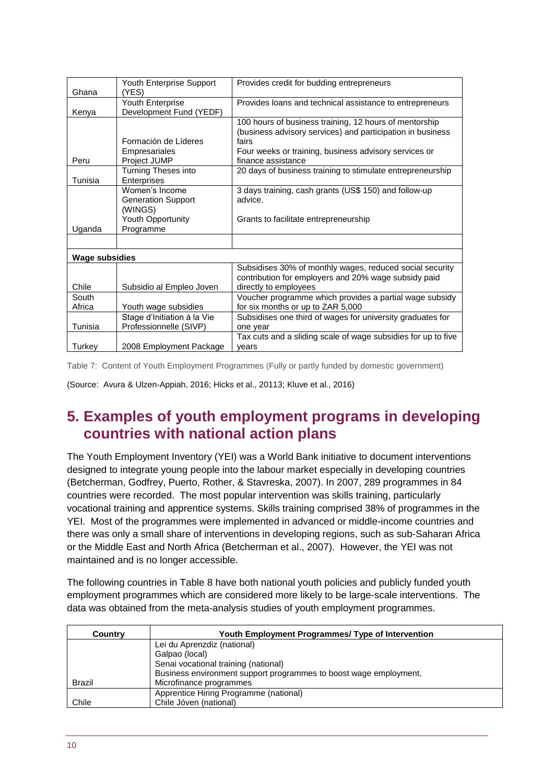| Ghana                 | Youth Enterprise Support<br>(YES)                                                               | Provides credit for budding entrepreneurs                                                                                                                                                                    |
|-----------------------|-------------------------------------------------------------------------------------------------|--------------------------------------------------------------------------------------------------------------------------------------------------------------------------------------------------------------|
| Kenya                 | <b>Youth Enterprise</b><br>Development Fund (YEDF)                                              | Provides loans and technical assistance to entrepreneurs                                                                                                                                                     |
| Peru                  | Formación de Líderes<br>Empresariales<br>Project JUMP                                           | 100 hours of business training, 12 hours of mentorship<br>(business advisory services) and participation in business<br>fairs<br>Four weeks or training, business advisory services or<br>finance assistance |
| Tunisia               | Turning Theses into<br>Enterprises                                                              | 20 days of business training to stimulate entrepreneurship                                                                                                                                                   |
| Uganda                | Women's Income<br><b>Generation Support</b><br>(WINGS)<br><b>Youth Opportunity</b><br>Programme | 3 days training, cash grants (US\$ 150) and follow-up<br>advice.<br>Grants to facilitate entrepreneurship                                                                                                    |
|                       |                                                                                                 |                                                                                                                                                                                                              |
| <b>Wage subsidies</b> |                                                                                                 |                                                                                                                                                                                                              |
| Chile                 | Subsidio al Empleo Joven                                                                        | Subsidises 30% of monthly wages, reduced social security<br>contribution for employers and 20% wage subsidy paid<br>directly to employees                                                                    |
| South<br>Africa       | Youth wage subsidies                                                                            | Voucher programme which provides a partial wage subsidy<br>for six months or up to ZAR 5,000                                                                                                                 |
| Tunisia               | Stage d'Initiation à la Vie<br>Professionnelle (SIVP)                                           | Subsidises one third of wages for university graduates for<br>one year                                                                                                                                       |
| Turkey                | 2008 Employment Package                                                                         | Tax cuts and a sliding scale of wage subsidies for up to five<br>vears                                                                                                                                       |

Table 7: Content of Youth Employment Programmes (Fully or partly funded by domestic government)

(Source: Avura & Ulzen-Appiah, 2016; Hicks et al., 20113; Kluve et al., 2016)

## **5. Examples of youth employment programs in developing countries with national action plans**

The Youth Employment Inventory (YEI) was a World Bank initiative to document interventions designed to integrate young people into the labour market especially in developing countries (Betcherman, Godfrey, Puerto, Rother, & Stavreska, 2007). In 2007, 289 programmes in 84 countries were recorded. The most popular intervention was skills training, particularly vocational training and apprentice systems. Skills training comprised 38% of programmes in the YEI. Most of the programmes were implemented in advanced or middle-income countries and there was only a small share of interventions in developing regions, such as sub-Saharan Africa or the Middle East and North Africa (Betcherman et al., 2007). However, the YEI was not maintained and is no longer accessible.

The following countries in Table 8 have both national youth policies and publicly funded youth employment programmes which are considered more likely to be large-scale interventions. The data was obtained from the meta-analysis studies of youth employment programmes.

| Country | Youth Employment Programmes/ Type of Intervention                 |  |  |  |  |  |
|---------|-------------------------------------------------------------------|--|--|--|--|--|
|         | Lei du Aprenzdiz (national)                                       |  |  |  |  |  |
|         | Galpao (local)                                                    |  |  |  |  |  |
|         | Senai vocational training (national)                              |  |  |  |  |  |
|         | Business environment support programmes to boost wage employment. |  |  |  |  |  |
| Brazil  | Microfinance programmes                                           |  |  |  |  |  |
|         | Apprentice Hiring Programme (national)                            |  |  |  |  |  |
| Chile   | Chile Jóven (national)                                            |  |  |  |  |  |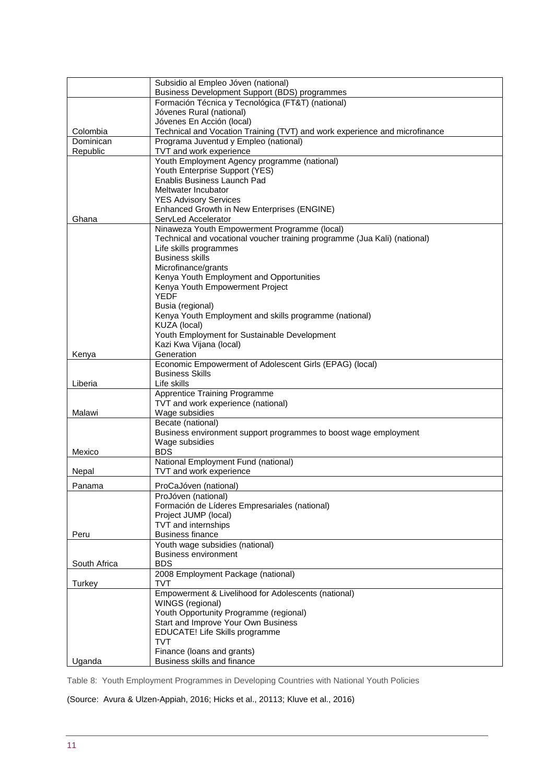|              | Subsidio al Empleo Jóven (national)                                                                                       |
|--------------|---------------------------------------------------------------------------------------------------------------------------|
|              | Business Development Support (BDS) programmes                                                                             |
|              | Formación Técnica y Tecnológica (FT&T) (national)                                                                         |
|              | Jóvenes Rural (national)                                                                                                  |
| Colombia     | Jóvenes En Acción (local)<br>Technical and Vocation Training (TVT) and work experience and microfinance                   |
| Dominican    | Programa Juventud y Empleo (national)                                                                                     |
| Republic     | TVT and work experience                                                                                                   |
|              | Youth Employment Agency programme (national)                                                                              |
|              | Youth Enterprise Support (YES)                                                                                            |
|              | Enablis Business Launch Pad                                                                                               |
|              | Meltwater Incubator                                                                                                       |
|              | <b>YES Advisory Services</b>                                                                                              |
|              | Enhanced Growth in New Enterprises (ENGINE)                                                                               |
| Ghana        | ServLed Accelerator                                                                                                       |
|              | Ninaweza Youth Empowerment Programme (local)<br>Technical and vocational voucher training programme (Jua Kali) (national) |
|              | Life skills programmes                                                                                                    |
|              | <b>Business skills</b>                                                                                                    |
|              | Microfinance/grants                                                                                                       |
|              | Kenya Youth Employment and Opportunities                                                                                  |
|              | Kenya Youth Empowerment Project                                                                                           |
|              | <b>YEDF</b>                                                                                                               |
|              | Busia (regional)                                                                                                          |
|              | Kenya Youth Employment and skills programme (national)<br>KUZA (local)                                                    |
|              | Youth Employment for Sustainable Development                                                                              |
|              | Kazi Kwa Vijana (local)                                                                                                   |
| Kenya        | Generation                                                                                                                |
|              | Economic Empowerment of Adolescent Girls (EPAG) (local)                                                                   |
|              | <b>Business Skills</b>                                                                                                    |
| Liberia      | Life skills                                                                                                               |
|              | <b>Apprentice Training Programme</b>                                                                                      |
| Malawi       | TVT and work experience (national)                                                                                        |
|              | Wage subsidies<br>Becate (national)                                                                                       |
|              | Business environment support programmes to boost wage employment                                                          |
|              | Wage subsidies                                                                                                            |
| Mexico       | <b>BDS</b>                                                                                                                |
|              | National Employment Fund (national)                                                                                       |
| Nepal        | TVT and work experience                                                                                                   |
| Panama       | ProCaJóven (national)                                                                                                     |
|              | ProJóven (national)                                                                                                       |
|              | Formación de Líderes Empresariales (national)                                                                             |
|              | Project JUMP (local)                                                                                                      |
|              | TVT and internships                                                                                                       |
| Peru         | <b>Business finance</b><br>Youth wage subsidies (national)                                                                |
|              | <b>Business environment</b>                                                                                               |
| South Africa | <b>BDS</b>                                                                                                                |
|              | 2008 Employment Package (national)                                                                                        |
| Turkey       | <b>TVT</b>                                                                                                                |
|              | Empowerment & Livelihood for Adolescents (national)                                                                       |
|              | WINGS (regional)                                                                                                          |
|              | Youth Opportunity Programme (regional)                                                                                    |
|              | Start and Improve Your Own Business                                                                                       |
|              | EDUCATE! Life Skills programme<br><b>TVT</b>                                                                              |
|              | Finance (loans and grants)                                                                                                |
| Uganda       | Business skills and finance                                                                                               |

Table 8: Youth Employment Programmes in Developing Countries with National Youth Policies

(Source: Avura & Ulzen-Appiah, 2016; Hicks et al., 20113; Kluve et al., 2016)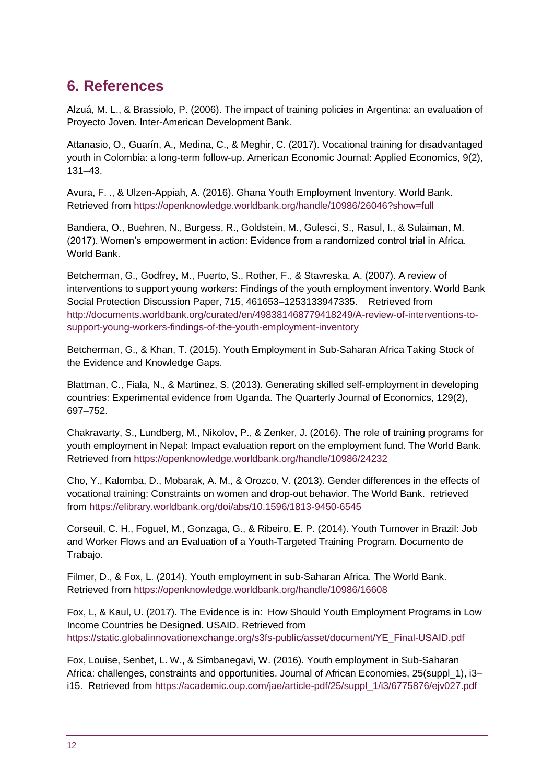# **6. References**

Alzuá, M. L., & Brassiolo, P. (2006). The impact of training policies in Argentina: an evaluation of Proyecto Joven. Inter-American Development Bank.

Attanasio, O., Guarín, A., Medina, C., & Meghir, C. (2017). Vocational training for disadvantaged youth in Colombia: a long-term follow-up. American Economic Journal: Applied Economics, 9(2), 131–43.

Avura, F. ., & Ulzen-Appiah, A. (2016). Ghana Youth Employment Inventory. World Bank. Retrieved from https://openknowledge.worldbank.org/handle/10986/26046?show=full

Bandiera, O., Buehren, N., Burgess, R., Goldstein, M., Gulesci, S., Rasul, I., & Sulaiman, M. (2017). Women's empowerment in action: Evidence from a randomized control trial in Africa. World Bank.

Betcherman, G., Godfrey, M., Puerto, S., Rother, F., & Stavreska, A. (2007). A review of interventions to support young workers: Findings of the youth employment inventory. World Bank Social Protection Discussion Paper, 715, 461653–1253133947335. Retrieved from http://documents.worldbank.org/curated/en/498381468779418249/A-review-of-interventions-tosupport-young-workers-findings-of-the-youth-employment-inventory

Betcherman, G., & Khan, T. (2015). Youth Employment in Sub-Saharan Africa Taking Stock of the Evidence and Knowledge Gaps.

Blattman, C., Fiala, N., & Martinez, S. (2013). Generating skilled self-employment in developing countries: Experimental evidence from Uganda. The Quarterly Journal of Economics, 129(2), 697–752.

Chakravarty, S., Lundberg, M., Nikolov, P., & Zenker, J. (2016). The role of training programs for youth employment in Nepal: Impact evaluation report on the employment fund. The World Bank. Retrieved from https://openknowledge.worldbank.org/handle/10986/24232

Cho, Y., Kalomba, D., Mobarak, A. M., & Orozco, V. (2013). Gender differences in the effects of vocational training: Constraints on women and drop-out behavior. The World Bank. retrieved from https://elibrary.worldbank.org/doi/abs/10.1596/1813-9450-6545

Corseuil, C. H., Foguel, M., Gonzaga, G., & Ribeiro, E. P. (2014). Youth Turnover in Brazil: Job and Worker Flows and an Evaluation of a Youth-Targeted Training Program. Documento de Trabajo.

Filmer, D., & Fox, L. (2014). Youth employment in sub-Saharan Africa. The World Bank. Retrieved from https://openknowledge.worldbank.org/handle/10986/16608

Fox, L, & Kaul, U. (2017). The Evidence is in: How Should Youth Employment Programs in Low Income Countries be Designed. USAID. Retrieved from https://static.globalinnovationexchange.org/s3fs-public/asset/document/YE\_Final-USAID.pdf

Fox, Louise, Senbet, L. W., & Simbanegavi, W. (2016). Youth employment in Sub-Saharan Africa: challenges, constraints and opportunities. Journal of African Economies, 25(suppl\_1), i3– i15. Retrieved from https://academic.oup.com/jae/article-pdf/25/suppl\_1/i3/6775876/ejv027.pdf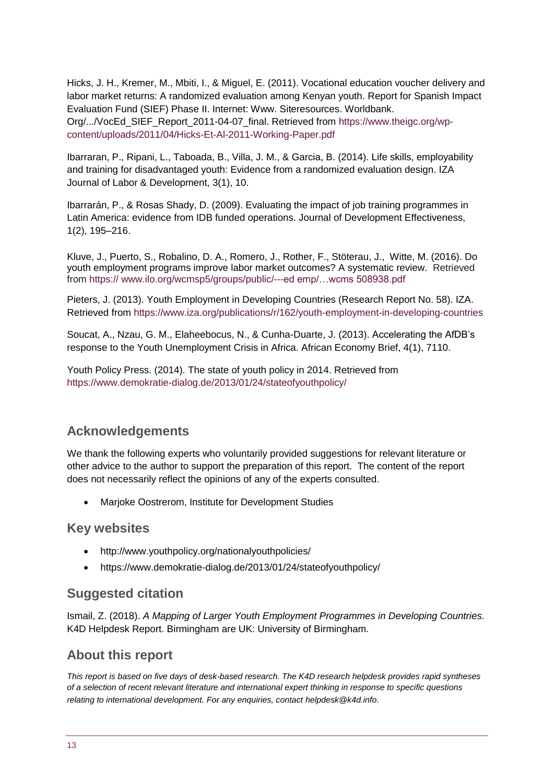Hicks, J. H., Kremer, M., Mbiti, I., & Miguel, E. (2011). Vocational education voucher delivery and labor market returns: A randomized evaluation among Kenyan youth. Report for Spanish Impact Evaluation Fund (SIEF) Phase II. Internet: Www. Siteresources. Worldbank. Org/.../VocEd\_SIEF\_Report\_2011-04-07\_final. Retrieved from https://www.theigc.org/wpcontent/uploads/2011/04/Hicks-Et-Al-2011-Working-Paper.pdf

Ibarraran, P., Ripani, L., Taboada, B., Villa, J. M., & Garcia, B. (2014). Life skills, employability and training for disadvantaged youth: Evidence from a randomized evaluation design. IZA Journal of Labor & Development, 3(1), 10.

Ibarrarán, P., & Rosas Shady, D. (2009). Evaluating the impact of job training programmes in Latin America: evidence from IDB funded operations. Journal of Development Effectiveness, 1(2), 195–216.

Kluve, J., Puerto, S., Robalino, D. A., Romero, J., Rother, F., Stöterau, J., Witte, M. (2016). Do youth employment programs improve labor market outcomes? A systematic review. Retrieved from https:// www.ilo.org/wcmsp5/groups/public/---ed emp/…wcms 508938.pdf

Pieters, J. (2013). Youth Employment in Developing Countries (Research Report No. 58). IZA. Retrieved from https://www.iza.org/publications/r/162/youth-employment-in-developing-countries

Soucat, A., Nzau, G. M., Elaheebocus, N., & Cunha-Duarte, J. (2013). Accelerating the AfDB's response to the Youth Unemployment Crisis in Africa. African Economy Brief, 4(1), 7110.

Youth Policy Press. (2014). The state of youth policy in 2014. Retrieved from https://www.demokratie-dialog.de/2013/01/24/stateofyouthpolicy/

#### **Acknowledgements**

We thank the following experts who voluntarily provided suggestions for relevant literature or other advice to the author to support the preparation of this report. The content of the report does not necessarily reflect the opinions of any of the experts consulted.

Marjoke Oostrerom, Institute for Development Studies

#### **Key websites**

- <http://www.youthpolicy.org/nationalyouthpolicies/>
- https://www.demokratie-dialog.de/2013/01/24/stateofyouthpolicy/

#### **Suggested citation**

Ismail, Z. (2018). *A Mapping of Larger Youth Employment Programmes in Developing Countries.*  K4D Helpdesk Report. Birmingham are UK: University of Birmingham.

#### **About this report**

*This report is based on five days of desk-based research. The K4D research helpdesk provides rapid syntheses of a selection of recent relevant literature and international expert thinking in response to specific questions relating to international development. For any enquiries, contact helpdesk@k4d.info.*